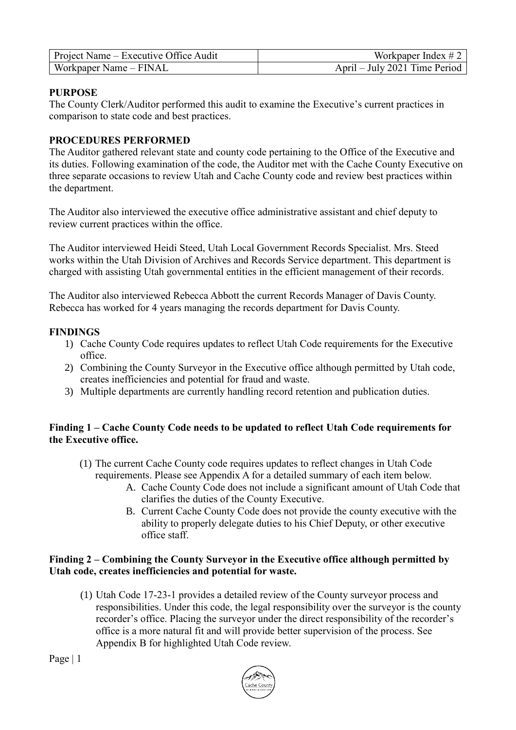| Project Name – Executive Office Audit | Workpaper Index $# 2$         |
|---------------------------------------|-------------------------------|
| Workpaper Name – FINAL                | April – July 2021 Time Period |

### **PURPOSE**

The County Clerk/Auditor performed this audit to examine the Executive's current practices in comparison to state code and best practices.

#### **PROCEDURES PERFORMED**

The Auditor gathered relevant state and county code pertaining to the Office of the Executive and its duties. Following examination of the code, the Auditor met with the Cache County Executive on three separate occasions to review Utah and Cache County code and review best practices within the department.

The Auditor also interviewed the executive office administrative assistant and chief deputy to review current practices within the office.

The Auditor interviewed Heidi Steed, Utah Local Government Records Specialist. Mrs. Steed works within the Utah Division of Archives and Records Service department. This department is charged with assisting Utah governmental entities in the efficient management of their records.

The Auditor also interviewed Rebecca Abbott the current Records Manager of Davis County. Rebecca has worked for 4 years managing the records department for Davis County.

#### **FINDINGS**

- 1) Cache County Code requires updates to reflect Utah Code requirements for the Executive office.
- 2) Combining the County Surveyor in the Executive office although permitted by Utah code, creates inefficiencies and potential for fraud and waste.
- 3) Multiple departments are currently handling record retention and publication duties.

### **Finding 1 – Cache County Code needs to be updated to reflect Utah Code requirements for the Executive office.**

- (1) The current Cache County code requires updates to reflect changes in Utah Code requirements. Please see Appendix A for a detailed summary of each item below.
	- A. Cache County Code does not include a significant amount of Utah Code that clarifies the duties of the County Executive.
	- B. Current Cache County Code does not provide the county executive with the ability to properly delegate duties to his Chief Deputy, or other executive office staff.

#### **Finding 2 – Combining the County Surveyor in the Executive office although permitted by Utah code, creates inefficiencies and potential for waste.**

(1) Utah Code 17-23-1 provides a detailed review of the County surveyor process and responsibilities. Under this code, the legal responsibility over the surveyor is the county recorder's office. Placing the surveyor under the direct responsibility of the recorder's office is a more natural fit and will provide better supervision of the process. See Appendix B for highlighted Utah Code review.

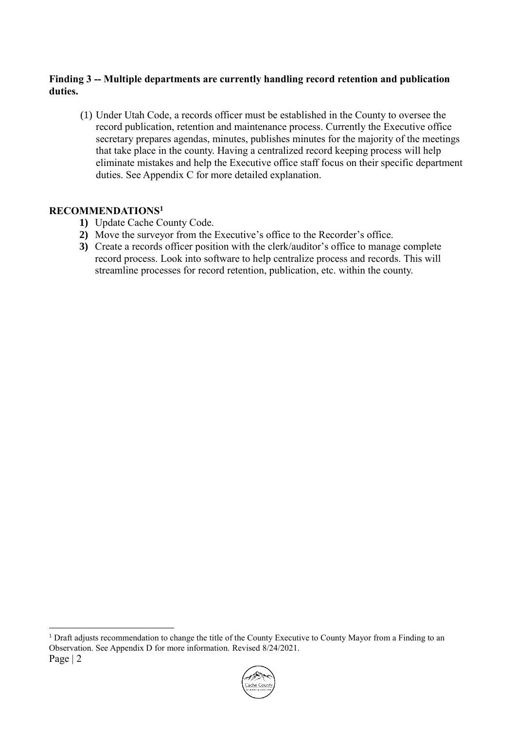### **Finding 3 -- Multiple departments are currently handling record retention and publication duties.**

(1) Under Utah Code, a records officer must be established in the County to oversee the record publication, retention and maintenance process. Currently the Executive office secretary prepares agendas, minutes, publishes minutes for the majority of the meetings that take place in the county. Having a centralized record keeping process will help eliminate mistakes and help the Executive office staff focus on their specific department duties. See Appendix C for more detailed explanation.

# **RECOMMENDATIONS<sup>1</sup>**

1

- **1)** Update Cache County Code.
- **2)** Move the surveyor from the Executive's office to the Recorder's office.
- **3)** Create a records officer position with the clerk/auditor's office to manage complete record process. Look into software to help centralize process and records. This will streamline processes for record retention, publication, etc. within the county.

Page | 2 <sup>1</sup> Draft adjusts recommendation to change the title of the County Executive to County Mayor from a Finding to an Observation. See Appendix D for more information. Revised 8/24/2021.

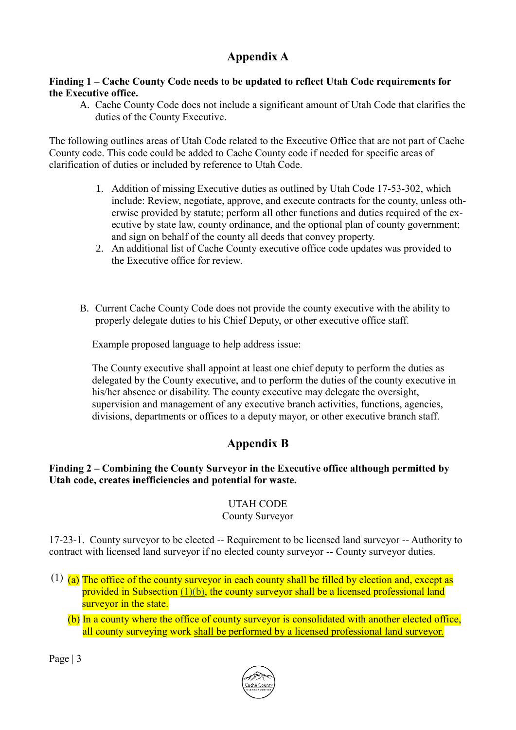# **Appendix A**

### **Finding 1 – Cache County Code needs to be updated to reflect Utah Code requirements for the Executive office.**

A. Cache County Code does not include a significant amount of Utah Code that clarifies the duties of the County Executive.

The following outlines areas of Utah Code related to the Executive Office that are not part of Cache County code. This code could be added to Cache County code if needed for specific areas of clarification of duties or included by reference to Utah Code.

- 1. Addition of missing Executive duties as outlined by Utah Code 17-53-302, which include: Review, negotiate, approve, and execute contracts for the county, unless otherwise provided by statute; perform all other functions and duties required of the executive by state law, county ordinance, and the optional plan of county government; and sign on behalf of the county all deeds that convey property.
- 2. An additional list of Cache County executive office code updates was provided to the Executive office for review.
- B. Current Cache County Code does not provide the county executive with the ability to properly delegate duties to his Chief Deputy, or other executive office staff.

Example proposed language to help address issue:

The County executive shall appoint at least one chief deputy to perform the duties as delegated by the County executive, and to perform the duties of the county executive in his/her absence or disability. The county executive may delegate the oversight, supervision and management of any executive branch activities, functions, agencies, divisions, departments or offices to a deputy mayor, or other executive branch staff.

# **Appendix B**

# **Finding 2 – Combining the County Surveyor in the Executive office although permitted by Utah code, creates inefficiencies and potential for waste.**

# UTAH CODE

# County Surveyor

17-23-1. County surveyor to be elected -- Requirement to be licensed land surveyor -- Authority to contract with licensed land surveyor if no elected county surveyor -- County surveyor duties.

- $(1)$  (a) The office of the county surveyor in each county shall be filled by election and, except as provided in Subsection [\(1\)\(b\),](https://le.utah.gov/xcode/Title17/Chapter23/17-23-S1.html?v=C17-23-S1_1800010118000101#17-23-1(1)(b)) the county surveyor shall be a licensed professional land surveyor in the state.
	- (b) In a county where the office of county surveyor is consolidated with another elected office, all county surveying work shall be performed by a licensed professional land surveyor.

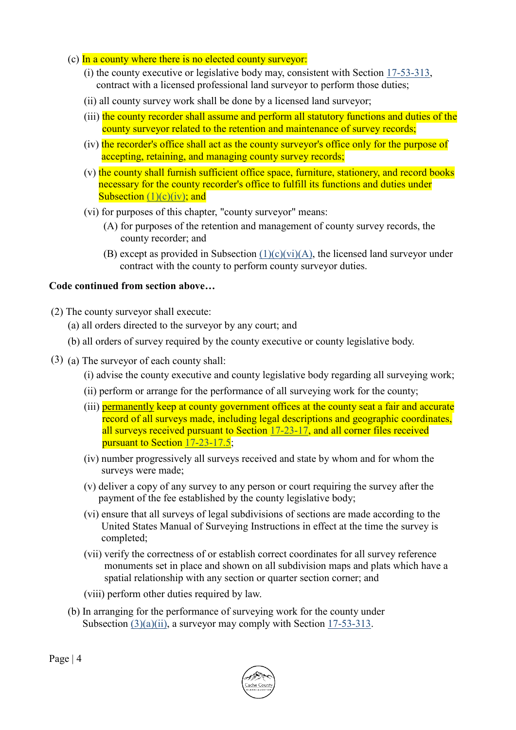- (c) In a county where there is no elected county surveyor:
	- (i) the county executive or legislative body may, consistent with Section [17-53-313,](https://le.utah.gov/xcode/Title17/Chapter53/17-53-S313.html?v=C17-53-S313_1800010118000101) contract with a licensed professional land surveyor to perform those duties;
	- (ii) all county survey work shall be done by a licensed land surveyor;
	- (iii) the county recorder shall assume and perform all statutory functions and duties of the county surveyor related to the retention and maintenance of survey records;
	- (iv) the recorder's office shall act as the county surveyor's office only for the purpose of accepting, retaining, and managing county survey records;
	- (v) the county shall furnish sufficient office space, furniture, stationery, and record books necessary for the county recorder's office to fulfill its functions and duties under Subsection  $(1)(c)(iv)$ ; and
	- (vi) for purposes of this chapter, "county surveyor" means:
		- (A) for purposes of the retention and management of county survey records, the county recorder; and
		- (B) except as provided in Subsection  $(1)(c)(vi)(A)$ , the licensed land surveyor under contract with the county to perform county surveyor duties.

#### **Code continued from section above…**

- (2) The county surveyor shall execute:
	- (a) all orders directed to the surveyor by any court; and
	- (b) all orders of survey required by the county executive or county legislative body.
- (3) (a) The surveyor of each county shall:
	- (i) advise the county executive and county legislative body regarding all surveying work;
	- (ii) perform or arrange for the performance of all surveying work for the county;
	- (iii) permanently keep at county government offices at the county seat a fair and accurate record of all surveys made, including legal descriptions and geographic coordinates, all surveys received pursuant to Section [17-23-17,](https://le.utah.gov/xcode/Title17/Chapter23/17-23-S17.html?v=C17-23-S17_2016051020160510) and all corner files received pursuant to Section [17-23-17.5;](https://le.utah.gov/xcode/Title17/Chapter23/17-23-S17.5.html?v=C17-23-S17.5_2015051220150512)
	- (iv) number progressively all surveys received and state by whom and for whom the surveys were made;
	- (v) deliver a copy of any survey to any person or court requiring the survey after the payment of the fee established by the county legislative body;
	- (vi) ensure that all surveys of legal subdivisions of sections are made according to the United States Manual of Surveying Instructions in effect at the time the survey is completed;
	- (vii) verify the correctness of or establish correct coordinates for all survey reference monuments set in place and shown on all subdivision maps and plats which have a spatial relationship with any section or quarter section corner; and
	- (viii) perform other duties required by law.
	- (b) In arranging for the performance of surveying work for the county under Subsection [\(3\)\(a\)\(ii\),](https://le.utah.gov/xcode/Title17/Chapter23/17-23-S1.html?v=C17-23-S1_1800010118000101#17-23-1(3)(a)(ii)) a surveyor may comply with Section [17-53-313.](https://le.utah.gov/xcode/Title17/Chapter53/17-53-S313.html?v=C17-53-S313_1800010118000101)

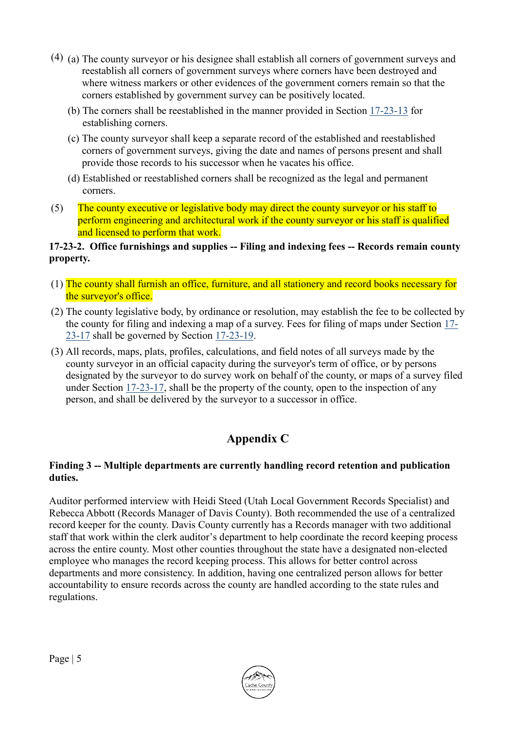- (4) (a) The county surveyor or his designee shall establish all corners of government surveys and reestablish all corners of government surveys where corners have been destroyed and where witness markers or other evidences of the government corners remain so that the corners established by government survey can be positively located.
	- (b) The corners shall be reestablished in the manner provided in Section [17-23-13](https://le.utah.gov/xcode/Title17/Chapter23/17-23-S13.html?v=C17-23-S13_1800010118000101) for establishing corners.
	- (c) The county surveyor shall keep a separate record of the established and reestablished corners of government surveys, giving the date and names of persons present and shall provide those records to his successor when he vacates his office.
	- (d) Established or reestablished corners shall be recognized as the legal and permanent corners.
- (5) The county executive or legislative body may direct the county surveyor or his staff to perform engineering and architectural work if the county surveyor or his staff is qualified and licensed to perform that work.

### **17-23-2. Office furnishings and supplies -- Filing and indexing fees -- Records remain county property.**

- (1) The county shall furnish an office, furniture, and all stationery and record books necessary for the surveyor's office.
- (2) The county legislative body, by ordinance or resolution, may establish the fee to be collected by the county for filing and indexing a map of a survey. Fees for filing of maps under Section [17-](https://le.utah.gov/xcode/Title17/Chapter23/17-23-S17.html?v=C17-23-S17_2016051020160510) [23-17](https://le.utah.gov/xcode/Title17/Chapter23/17-23-S17.html?v=C17-23-S17_2016051020160510) shall be governed by Section [17-23-19.](https://le.utah.gov/xcode/Title17/Chapter23/17-23-S19.html?v=C17-23-S19_2014040320140513)
- (3) All records, maps, plats, profiles, calculations, and field notes of all surveys made by the county surveyor in an official capacity during the surveyor's term of office, or by persons designated by the surveyor to do survey work on behalf of the county, or maps of a survey filed under Section [17-23-17,](https://le.utah.gov/xcode/Title17/Chapter23/17-23-S17.html?v=C17-23-S17_2016051020160510) shall be the property of the county, open to the inspection of any person, and shall be delivered by the surveyor to a successor in office.

# **Appendix C**

### **Finding 3 -- Multiple departments are currently handling record retention and publication duties.**

Auditor performed interview with Heidi Steed (Utah Local Government Records Specialist) and Rebecca Abbott (Records Manager of Davis County). Both recommended the use of a centralized record keeper for the county. Davis County currently has a Records manager with two additional staff that work within the clerk auditor's department to help coordinate the record keeping process across the entire county. Most other counties throughout the state have a designated non-elected employee who manages the record keeping process. This allows for better control across departments and more consistency. In addition, having one centralized person allows for better accountability to ensure records across the county are handled according to the state rules and regulations.